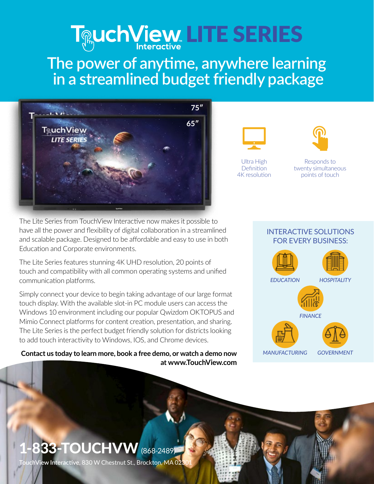# **LITE SERIES**

## **The power of anytime, anywhere learning in a streamlined budget friendly package**





Ultra High **Definition** 4K resolution



Responds to twenty simultaneous points of touch

The Lite Series from TouchView Interactive now makes it possible to have all the power and flexibility of digital collaboration in a streamlined and scalable package. Designed to be affordable and easy to use in both Education and Corporate environments.

The Lite Series features stunning 4K UHD resolution, 20 points of touch and compatibility with all common operating systems and unified communication platforms.

Simply connect your device to begin taking advantage of our large format touch display. With the available slot-in PC module users can access the Windows 10 environment including our popular Qwizdom OKTOPUS and Mimio Connect platforms for content creation, presentation, and sharing. The Lite Series is the perfect budget friendly solution for districts looking to add touch interactivity to Windows, IOS, and Chrome devices.

**Contact us today to learn more, book a free demo, or watch a demo now at www.TouchView.com**

### INTERACTIVE SOLUTIONS FOR EVERY BUSINESS:



# **833-TOUCHVW** (868-2489)

**IchView Interactive,** 830 W Chestnut St., Brockton, MA 02: